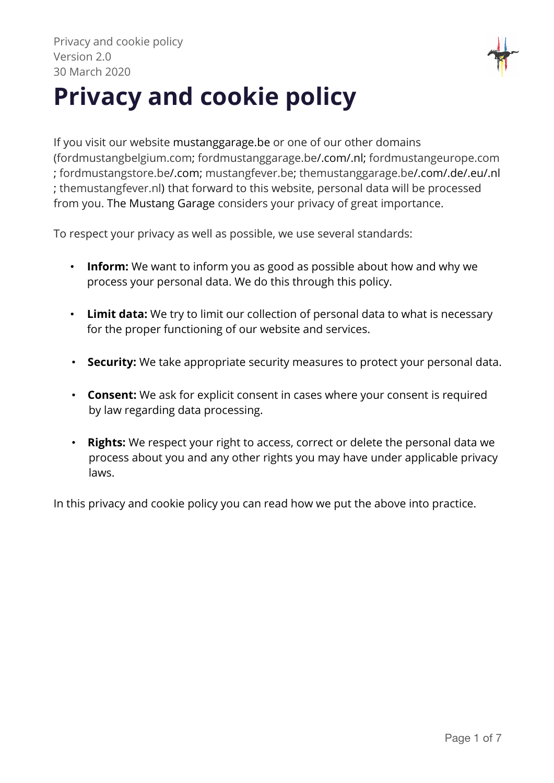

# **Privacy and cookie policy**

If you visit our website mustanggarage.be or one of our other domains (fordmustangbelgium.com; fordmustanggarage.be/.com/.nl; fordmustangeurope.com ; fordmustangstore.be/.com; mustangfever.be; themustanggarage.be/.com/.de/.eu/.nl ; themustangfever.nl) that forward to this website, personal data will be processed from you. The Mustang Garage considers your privacy of great importance.

To respect your privacy as well as possible, we use several standards:

- **Inform:** We want to inform you as good as possible about how and why we process your personal data. We do this through this policy.
- **Limit data:** We try to limit our collection of personal data to what is necessary for the proper functioning of our website and services.
- **Security:** We take appropriate security measures to protect your personal data.
- **Consent:** We ask for explicit consent in cases where your consent is required by law regarding data processing.
- **Rights:** We respect your right to access, correct or delete the personal data we process about you and any other rights you may have under applicable privacy laws.

In this privacy and cookie policy you can read how we put the above into practice.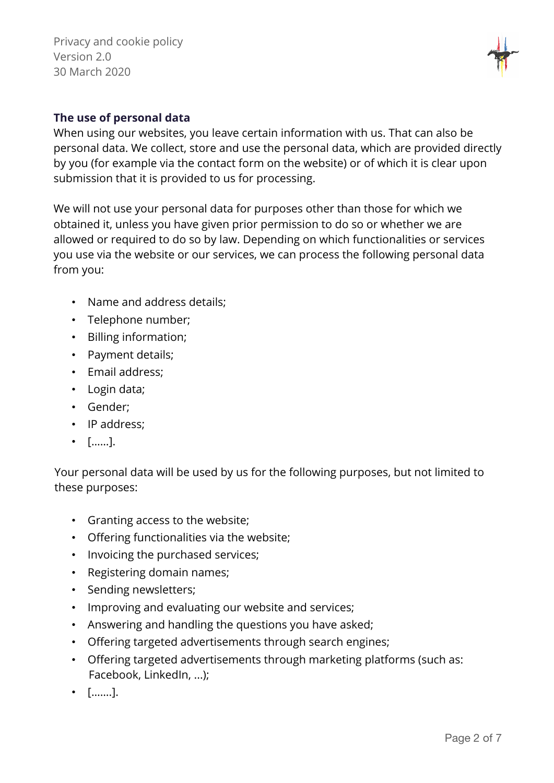

#### **The use of personal data**

When using our websites, you leave certain information with us. That can also be personal data. We collect, store and use the personal data, which are provided directly by you (for example via the contact form on the website) or of which it is clear upon submission that it is provided to us for processing.

We will not use your personal data for purposes other than those for which we obtained it, unless you have given prior permission to do so or whether we are allowed or required to do so by law. Depending on which functionalities or services you use via the website or our services, we can process the following personal data from you:

- Name and address details;
- Telephone number;
- Billing information;
- Payment details;
- Email address;
- Login data;
- Gender;
- IP address:
- [……].

Your personal data will be used by us for the following purposes, but not limited to these purposes:

- Granting access to the website;
- Offering functionalities via the website;
- Invoicing the purchased services;
- Registering domain names;
- Sending newsletters;
- Improving and evaluating our website and services;
- Answering and handling the questions you have asked;
- Offering targeted advertisements through search engines;
- Offering targeted advertisements through marketing platforms (such as: Facebook, LinkedIn, ...);
- […….].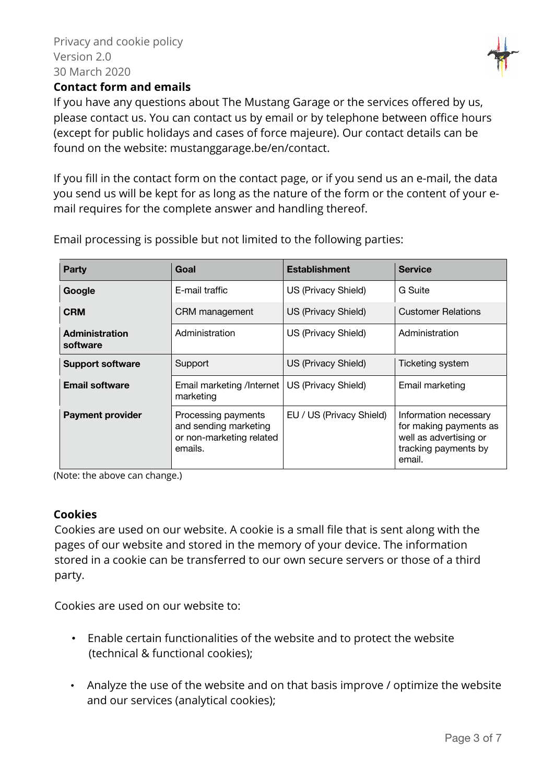

#### **Contact form and emails**

If you have any questions about The Mustang Garage or the services offered by us, please contact us. You can contact us by email or by telephone between office hours (except for public holidays and cases of force majeure). Our contact details can be found on the website: mustanggarage.be/en/contact.

If you fill in the contact form on the contact page, or if you send us an e-mail, the data you send us will be kept for as long as the nature of the form or the content of your email requires for the complete answer and handling thereof.

| Party                             | Goal                                                                                | <b>Establishment</b>     | <b>Service</b>                                                                                              |
|-----------------------------------|-------------------------------------------------------------------------------------|--------------------------|-------------------------------------------------------------------------------------------------------------|
| Google                            | E-mail traffic                                                                      | US (Privacy Shield)      | G Suite                                                                                                     |
| <b>CRM</b>                        | CRM management                                                                      | US (Privacy Shield)      | <b>Customer Relations</b>                                                                                   |
| <b>Administration</b><br>software | Administration                                                                      | US (Privacy Shield)      | Administration                                                                                              |
| <b>Support software</b>           | Support                                                                             | US (Privacy Shield)      | Ticketing system                                                                                            |
| <b>Email software</b>             | Email marketing /Internet  <br>marketing                                            | US (Privacy Shield)      | Email marketing                                                                                             |
| <b>Payment provider</b>           | Processing payments<br>and sending marketing<br>or non-marketing related<br>emails. | EU / US (Privacy Shield) | Information necessary<br>for making payments as<br>well as advertising or<br>tracking payments by<br>email. |

Email processing is possible but not limited to the following parties:

(Note: the above can change.)

#### **Cookies**

Cookies are used on our website. A cookie is a small file that is sent along with the pages of our website and stored in the memory of your device. The information stored in a cookie can be transferred to our own secure servers or those of a third party.

Cookies are used on our website to:

- Enable certain functionalities of the website and to protect the website (technical & functional cookies);
- Analyze the use of the website and on that basis improve / optimize the website and our services (analytical cookies);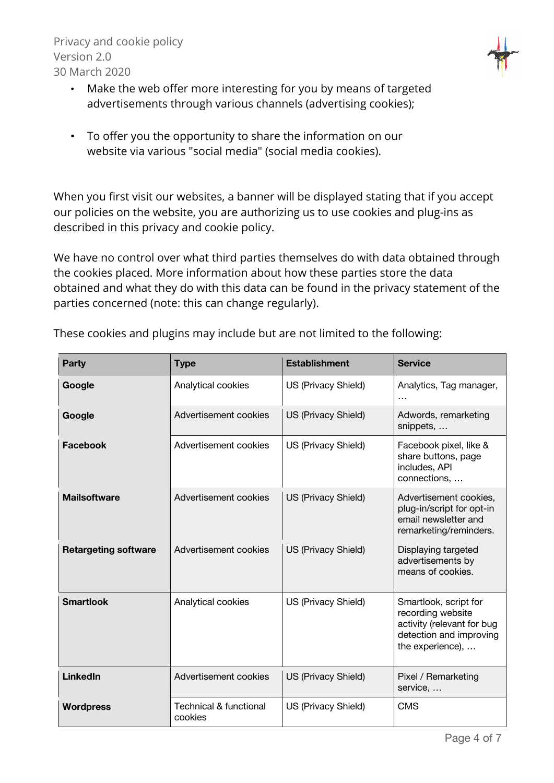

- Make the web offer more interesting for you by means of targeted advertisements through various channels (advertising cookies);
- To offer you the opportunity to share the information on our website via various "social media" (social media cookies).

When you first visit our websites, a banner will be displayed stating that if you accept our policies on the website, you are authorizing us to use cookies and plug-ins as described in this privacy and cookie policy.

We have no control over what third parties themselves do with data obtained through the cookies placed. More information about how these parties store the data obtained and what they do with this data can be found in the privacy statement of the parties concerned (note: this can change regularly).

| Party                       | <b>Type</b>                                  | <b>Establishment</b> | <b>Service</b>                                                                                                          |
|-----------------------------|----------------------------------------------|----------------------|-------------------------------------------------------------------------------------------------------------------------|
| Google                      | Analytical cookies                           | US (Privacy Shield)  | Analytics, Tag manager,                                                                                                 |
| Google                      | Advertisement cookies                        | US (Privacy Shield)  | Adwords, remarketing<br>snippets,                                                                                       |
| Facebook                    | Advertisement cookies                        | US (Privacy Shield)  | Facebook pixel, like &<br>share buttons, page<br>includes, API<br>connections,                                          |
| <b>Mailsoftware</b>         | Advertisement cookies                        | US (Privacy Shield)  | Advertisement cookies,<br>plug-in/script for opt-in<br>email newsletter and<br>remarketing/reminders.                   |
| <b>Retargeting software</b> | Advertisement cookies                        | US (Privacy Shield)  | Displaying targeted<br>advertisements by<br>means of cookies.                                                           |
| <b>Smartlook</b>            | Analytical cookies                           | US (Privacy Shield)  | Smartlook, script for<br>recording website<br>activity (relevant for bug<br>detection and improving<br>the experience), |
| <b>LinkedIn</b>             | Advertisement cookies                        | US (Privacy Shield)  | Pixel / Remarketing<br>service,                                                                                         |
| <b>Wordpress</b>            | <b>Technical &amp; functional</b><br>cookies | US (Privacy Shield)  | <b>CMS</b>                                                                                                              |

These cookies and plugins may include but are not limited to the following: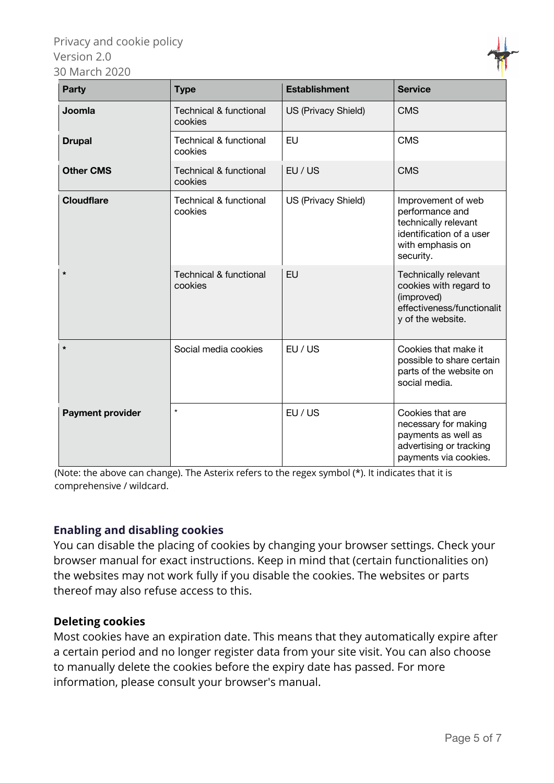| <b>Party</b>            | <b>Type</b>                                  | <b>Establishment</b> | <b>Service</b>                                                                                                             |
|-------------------------|----------------------------------------------|----------------------|----------------------------------------------------------------------------------------------------------------------------|
| Joomla                  | <b>Technical &amp; functional</b><br>cookies | US (Privacy Shield)  | <b>CMS</b>                                                                                                                 |
| <b>Drupal</b>           | <b>Technical &amp; functional</b><br>cookies | <b>EU</b>            | <b>CMS</b>                                                                                                                 |
| <b>Other CMS</b>        | <b>Technical &amp; functional</b><br>cookies | EU / US              | <b>CMS</b>                                                                                                                 |
| <b>Cloudflare</b>       | <b>Technical &amp; functional</b><br>cookies | US (Privacy Shield)  | Improvement of web<br>performance and<br>technically relevant<br>identification of a user<br>with emphasis on<br>security. |
| $\star$                 | <b>Technical &amp; functional</b><br>cookies | <b>EU</b>            | Technically relevant<br>cookies with regard to<br>(improved)<br>effectiveness/functionalit<br>y of the website.            |
| $\star$                 | Social media cookies                         | EU / US              | Cookies that make it<br>possible to share certain<br>parts of the website on<br>social media.                              |
| <b>Payment provider</b> | $\star$                                      | EU / US              | Cookies that are<br>necessary for making<br>payments as well as<br>advertising or tracking<br>payments via cookies.        |

(Note: the above can change). The Asterix refers to the regex symbol (\*). It indicates that it is comprehensive / wildcard.

## **Enabling and disabling cookies**

You can disable the placing of cookies by changing your browser settings. Check your browser manual for exact instructions. Keep in mind that (certain functionalities on) the websites may not work fully if you disable the cookies. The websites or parts thereof may also refuse access to this.

## **Deleting cookies**

Most cookies have an expiration date. This means that they automatically expire after a certain period and no longer register data from your site visit. You can also choose to manually delete the cookies before the expiry date has passed. For more information, please consult your browser's manual.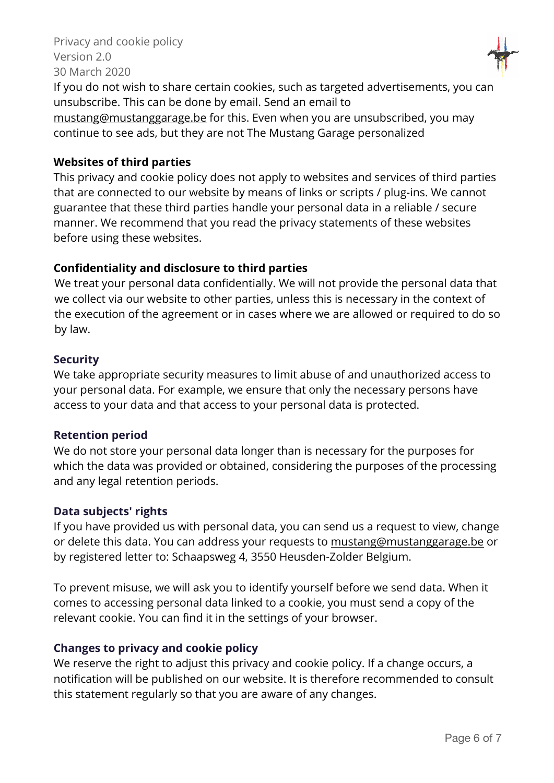

If you do not wish to share certain cookies, such as targeted advertisements, you can unsubscribe. This can be done by email. Send an email to mustang@mustanggarage.be for this. Even when you are unsubscribed, you may continue to see ads, but they are not The Mustang Garage personalized

#### **Websites of third parties**

This privacy and cookie policy does not apply to websites and services of third parties that are connected to our website by means of links or scripts / plug-ins. We cannot guarantee that these third parties handle your personal data in a reliable / secure manner. We recommend that you read the privacy statements of these websites before using these websites.

#### **Confidentiality and disclosure to third parties**

We treat your personal data confidentially. We will not provide the personal data that we collect via our website to other parties, unless this is necessary in the context of the execution of the agreement or in cases where we are allowed or required to do so by law.

#### **Security**

We take appropriate security measures to limit abuse of and unauthorized access to your personal data. For example, we ensure that only the necessary persons have access to your data and that access to your personal data is protected.

#### **Retention period**

We do not store your personal data longer than is necessary for the purposes for which the data was provided or obtained, considering the purposes of the processing and any legal retention periods.

#### **Data subjects' rights**

If you have provided us with personal data, you can send us a request to view, change or delete this data. You can address your requests to mustang@mustanggarage.be or by registered letter to: Schaapsweg 4, 3550 Heusden-Zolder Belgium.

To prevent misuse, we will ask you to identify yourself before we send data. When it comes to accessing personal data linked to a cookie, you must send a copy of the relevant cookie. You can find it in the settings of your browser.

#### **Changes to privacy and cookie policy**

We reserve the right to adjust this privacy and cookie policy. If a change occurs, a notification will be published on our website. It is therefore recommended to consult this statement regularly so that you are aware of any changes.